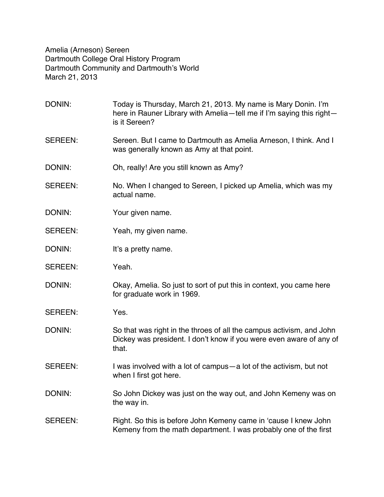Amelia (Arneson) Sereen Dartmouth College Oral History Program Dartmouth Community and Dartmouth's World March 21, 2013

DONIN: Today is Thursday, March 21, 2013. My name is Mary Donin. I'm here in Rauner Library with Amelia—tell me if I'm saying this right is it Sereen? SEREEN: Sereen. But I came to Dartmouth as Amelia Arneson, I think. And I was generally known as Amy at that point. DONIN: Oh, really! Are you still known as Amy? SEREEN: No. When I changed to Sereen, I picked up Amelia, which was my actual name. DONIN: Your given name. SEREEN: Yeah, my given name. DONIN: It's a pretty name. SEREEN: Yeah. DONIN: Okay, Amelia. So just to sort of put this in context, you came here for graduate work in 1969. SEREEN: Yes. DONIN: So that was right in the throes of all the campus activism, and John Dickey was president. I don't know if you were even aware of any of that. SEREEN: I was involved with a lot of campus—a lot of the activism, but not when I first got here. DONIN: So John Dickey was just on the way out, and John Kemeny was on the way in. SEREEN: Right. So this is before John Kemeny came in 'cause I knew John Kemeny from the math department. I was probably one of the first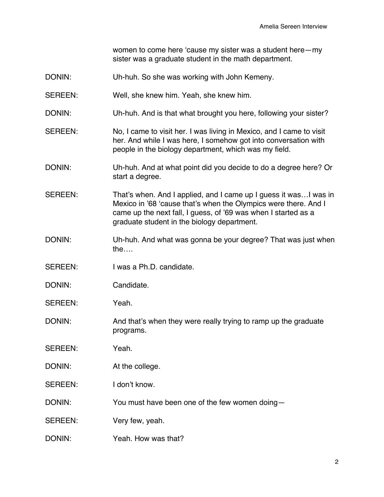women to come here 'cause my sister was a student here—my sister was a graduate student in the math department.

- DONIN: Uh-huh. So she was working with John Kemeny.
- SEREEN: Well, she knew him. Yeah, she knew him.
- DONIN: Uh-huh. And is that what brought you here, following your sister?
- SEREEN: No, I came to visit her. I was living in Mexico, and I came to visit her. And while I was here, I somehow got into conversation with people in the biology department, which was my field.
- DONIN: Uh-huh. And at what point did you decide to do a degree here? Or start a degree.
- SEREEN: That's when. And I applied, and I came up I quess it was...I was in Mexico in '68 'cause that's when the Olympics were there. And I came up the next fall, I guess, of '69 was when I started as a graduate student in the biology department.
- DONIN: Uh-huh. And what was gonna be your degree? That was just when the….
- SEREEN: I was a Ph.D. candidate.
- DONIN: Candidate.
- SEREEN: Yeah.

DONIN: And that's when they were really trying to ramp up the graduate programs.

- SEREEN: Yeah.
- DONIN: At the college.
- SEREEN: I don't know.
- DONIN: You must have been one of the few women doing—
- SEREEN: Very few, yeah.
- DONIN: Yeah. How was that?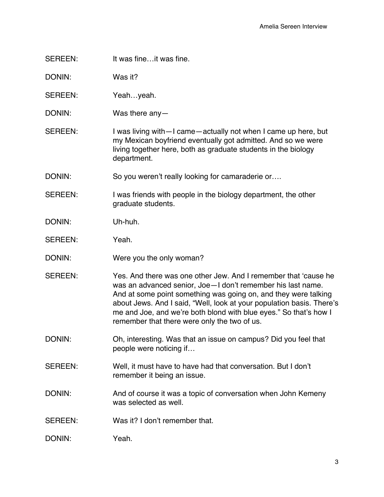SEREEN: It was fine…it was fine.

DONIN: Was it?

SEREEN: Yeah...yeah.

DONIN: Was there any—

SEREEN: I was living with - I came - actually not when I came up here, but my Mexican boyfriend eventually got admitted. And so we were living together here, both as graduate students in the biology department.

DONIN: So you weren't really looking for camaraderie or....

- SEREEN: I was friends with people in the biology department, the other graduate students.
- DONIN: Uh-huh.

SEREEN: Yeah.

- DONIN: Were you the only woman?
- SEREEN: Yes. And there was one other Jew. And I remember that 'cause he was an advanced senior, Joe—I don't remember his last name. And at some point something was going on, and they were talking about Jews. And I said, "Well, look at your population basis. There's me and Joe, and we're both blond with blue eyes." So that's how I remember that there were only the two of us.
- DONIN: Oh, interesting. Was that an issue on campus? Did you feel that people were noticing if…
- SEREEN: Well, it must have to have had that conversation. But I don't remember it being an issue.
- DONIN: And of course it was a topic of conversation when John Kemeny was selected as well.
- SEREEN: Was it? I don't remember that.

DONIN: Yeah.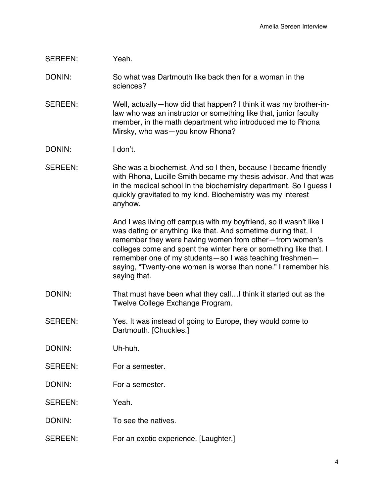# SEREEN: Yeah.

- DONIN: So what was Dartmouth like back then for a woman in the sciences?
- SEREEN: Well, actually—how did that happen? I think it was my brother-inlaw who was an instructor or something like that, junior faculty member, in the math department who introduced me to Rhona Mirsky, who was—you know Rhona?
- DONIN: I don't.
- SEREEN: She was a biochemist. And so I then, because I became friendly with Rhona, Lucille Smith became my thesis advisor. And that was in the medical school in the biochemistry department. So I guess I quickly gravitated to my kind. Biochemistry was my interest anyhow.

And I was living off campus with my boyfriend, so it wasn't like I was dating or anything like that. And sometime during that, I remember they were having women from other—from women's colleges come and spent the winter here or something like that. I remember one of my students—so I was teaching freshmen saying, "Twenty-one women is worse than none." I remember his saying that.

DONIN: That must have been what they call…I think it started out as the Twelve College Exchange Program.

#### SEREEN: Yes. It was instead of going to Europe, they would come to Dartmouth. [Chuckles.]

- DONIN: Uh-huh.
- SEREEN: For a semester.
- DONIN: For a semester

SEREEN: Yeah.

- DONIN: To see the natives.
- SEREEN: For an exotic experience. [Laughter.]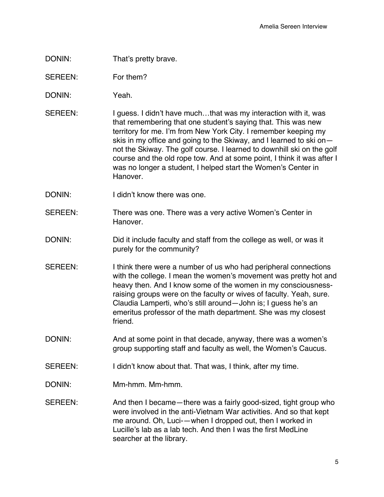- DONIN: That's pretty brave.
- SEREEN: For them?
- DONIN: Yeah.
- SEREEN: I guess. I didn't have much...that was my interaction with it, was that remembering that one student's saying that. This was new territory for me. I'm from New York City. I remember keeping my skis in my office and going to the Skiway, and I learned to ski on not the Skiway. The golf course. I learned to downhill ski on the golf course and the old rope tow. And at some point, I think it was after I was no longer a student, I helped start the Women's Center in **Hanover**
- DONIN: I didn't know there was one.
- SEREEN: There was one. There was a very active Women's Center in Hanover.
- DONIN: DONIN: Did it include faculty and staff from the college as well, or was it purely for the community?
- SEREEN: I think there were a number of us who had peripheral connections with the college. I mean the women's movement was pretty hot and heavy then. And I know some of the women in my consciousnessraising groups were on the faculty or wives of faculty. Yeah, sure. Claudia Lamperti, who's still around—John is; I guess he's an emeritus professor of the math department. She was my closest friend.
- DONIN: And at some point in that decade, anyway, there was a women's group supporting staff and faculty as well, the Women's Caucus.
- SEREEN: I didn't know about that. That was, I think, after my time.
- DONIN: Mm-hmm. Mm-hmm.
- SEREEN: And then I became—there was a fairly good-sized, tight group who were involved in the anti-Vietnam War activities. And so that kept me around. Oh, Luci-—when I dropped out, then I worked in Lucille's lab as a lab tech. And then I was the first MedLine searcher at the library.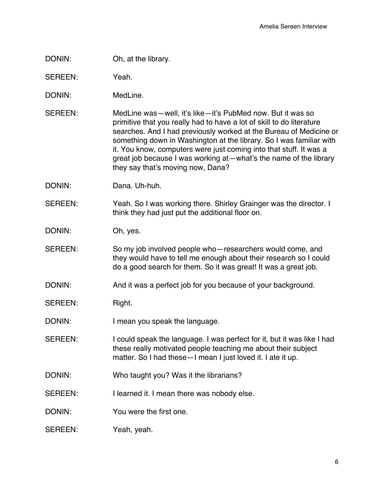# DONIN: Oh, at the library.

SEREEN: Yeah.

- DONIN: MedLine.
- SEREEN: MedLine was—well, it's like—it's PubMed now. But it was so primitive that you really had to have a lot of skill to do literature searches. And I had previously worked at the Bureau of Medicine or something down in Washington at the library. So I was familiar with it. You know, computers were just coming into that stuff. It was a great job because I was working at—what's the name of the library they say that's moving now, Dana?
- DONIN: Dana. Uh-huh.
- SEREEN: Yeah. So I was working there. Shirley Grainger was the director. I think they had just put the additional floor on.

DONIN: Oh, yes.

- SEREEN: So my job involved people who—researchers would come, and they would have to tell me enough about their research so I could do a good search for them. So it was great! It was a great job.
- DONIN: And it was a perfect job for you because of your background.
- SEREEN: Right.
- DONIN: I mean you speak the language.
- SEREEN: I could speak the language. I was perfect for it, but it was like I had these really motivated people teaching me about their subject matter. So I had these—I mean I just loved it. I ate it up.
- DONIN: Who taught you? Was it the librarians?
- SEREEN: I learned it. I mean there was nobody else.
- DONIN: You were the first one.
- SEREEN: Yeah, yeah.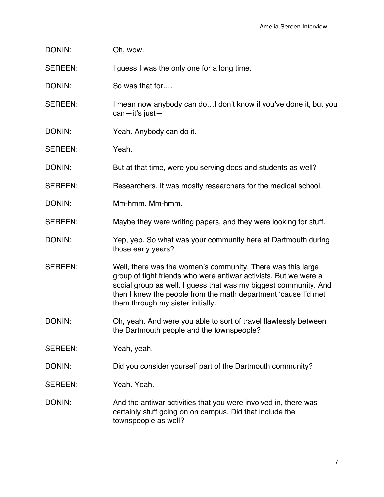DONIN: Oh, wow.

SEREEN: I guess I was the only one for a long time.

DONIN: So was that for....

SEREEN: I mean now anybody can do... I don't know if you've done it, but you can—it's just—

- DONIN: Yeah. Anybody can do it.
- SEREEN: Yeah.

DONIN: But at that time, were you serving docs and students as well?

SEREEN: Researchers. It was mostly researchers for the medical school.

- DONIN: Mm-hmm. Mm-hmm.
- SEREEN: Maybe they were writing papers, and they were looking for stuff.
- DONIN: Yep, yep. So what was your community here at Dartmouth during those early years?
- SEREEN: Well, there was the women's community. There was this large group of tight friends who were antiwar activists. But we were a social group as well. I guess that was my biggest community. And then I knew the people from the math department 'cause I'd met them through my sister initially.
- DONIN: Oh, yeah. And were you able to sort of travel flawlessly between the Dartmouth people and the townspeople?
- SEREEN: Yeah, yeah.
- DONIN: DONIN: Did you consider yourself part of the Dartmouth community?
- SEREEN: Yeah. Yeah.

DONIN: And the antiwar activities that you were involved in, there was certainly stuff going on on campus. Did that include the townspeople as well?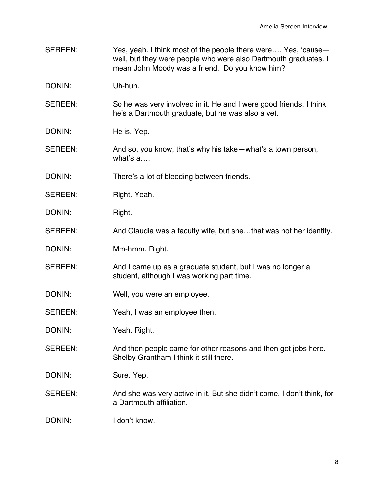- SEREEN: Yes, yeah. I think most of the people there were.... Yes, 'causewell, but they were people who were also Dartmouth graduates. I mean John Moody was a friend. Do you know him?
- DONIN: Uh-huh.
- SEREEN: So he was very involved in it. He and I were good friends. I think he's a Dartmouth graduate, but he was also a vet.
- DONIN: He is. Yep.
- SEREEN: And so, you know, that's why his take—what's a town person, what's a….
- DONIN: There's a lot of bleeding between friends.
- SEREEN: Right. Yeah.
- DONIN: Right.
- SEREEN: And Claudia was a faculty wife, but she...that was not her identity.
- DONIN: Mm-hmm. Right.
- SEREEN: And I came up as a graduate student, but I was no longer a student, although I was working part time.
- DONIN: Well, you were an employee.
- SEREEN: Yeah, I was an employee then.
- DONIN: Yeah. Right.
- SEREEN: And then people came for other reasons and then got jobs here. Shelby Grantham I think it still there.
- DONIN: Sure. Yep.
- SEREEN: And she was very active in it. But she didn't come, I don't think, for a Dartmouth affiliation.
- DONIN: I don't know.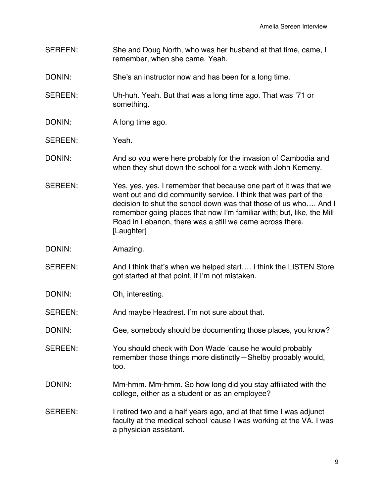- SEREEN: She and Doug North, who was her husband at that time, came, I remember, when she came. Yeah.
- DONIN: She's an instructor now and has been for a long time.
- SEREEN: Uh-huh. Yeah. But that was a long time ago. That was '71 or something.
- DONIN: A long time ago.
- SEREEN: Yeah.
- DONIN: And so you were here probably for the invasion of Cambodia and when they shut down the school for a week with John Kemeny.
- SEREEN: Yes, yes, yes. I remember that because one part of it was that we went out and did community service. I think that was part of the decision to shut the school down was that those of us who…. And I remember going places that now I'm familiar with; but, like, the Mill Road in Lebanon, there was a still we came across there. [Laughter]
- DONIN: Amazing.
- SEREEN: And I think that's when we helped start.... I think the LISTEN Store got started at that point, if I'm not mistaken.
- DONIN: Oh, interesting.
- SEREEN: And maybe Headrest. I'm not sure about that.
- DONIN: Gee, somebody should be documenting those places, you know?
- SEREEN: You should check with Don Wade 'cause he would probably remember those things more distinctly—Shelby probably would, too.
- DONIN: Mm-hmm. Mm-hmm. So how long did you stay affiliated with the college, either as a student or as an employee?
- SEREEN: I retired two and a half years ago, and at that time I was adjunct faculty at the medical school 'cause I was working at the VA. I was a physician assistant.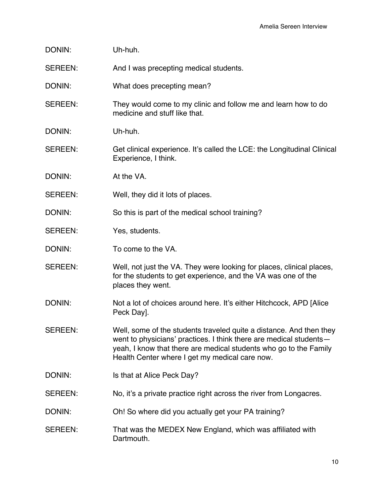| DONIN:         | Uh-huh.                                                                                                                                                                                                                                                          |
|----------------|------------------------------------------------------------------------------------------------------------------------------------------------------------------------------------------------------------------------------------------------------------------|
| SEREEN:        | And I was precepting medical students.                                                                                                                                                                                                                           |
| DONIN:         | What does precepting mean?                                                                                                                                                                                                                                       |
| SEREEN:        | They would come to my clinic and follow me and learn how to do<br>medicine and stuff like that.                                                                                                                                                                  |
| DONIN:         | Uh-huh.                                                                                                                                                                                                                                                          |
| SEREEN:        | Get clinical experience. It's called the LCE: the Longitudinal Clinical<br>Experience, I think.                                                                                                                                                                  |
| DONIN:         | At the VA.                                                                                                                                                                                                                                                       |
| <b>SEREEN:</b> | Well, they did it lots of places.                                                                                                                                                                                                                                |
| DONIN:         | So this is part of the medical school training?                                                                                                                                                                                                                  |
| <b>SEREEN:</b> | Yes, students.                                                                                                                                                                                                                                                   |
| DONIN:         | To come to the VA.                                                                                                                                                                                                                                               |
| <b>SEREEN:</b> | Well, not just the VA. They were looking for places, clinical places,<br>for the students to get experience, and the VA was one of the<br>places they went.                                                                                                      |
| DONIN:         | Not a lot of choices around here. It's either Hitchcock, APD [Alice]<br>Peck Dayl.                                                                                                                                                                               |
| SEREEN:        | Well, some of the students traveled quite a distance. And then they<br>went to physicians' practices. I think there are medical students-<br>yeah, I know that there are medical students who go to the Family<br>Health Center where I get my medical care now. |
| DONIN:         | Is that at Alice Peck Day?                                                                                                                                                                                                                                       |
| SEREEN:        | No, it's a private practice right across the river from Longacres.                                                                                                                                                                                               |
| DONIN:         | Oh! So where did you actually get your PA training?                                                                                                                                                                                                              |
| SEREEN:        | That was the MEDEX New England, which was affiliated with<br>Dartmouth.                                                                                                                                                                                          |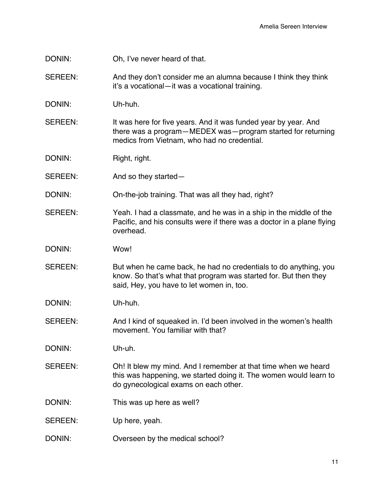DONIN: Oh, I've never heard of that.

SEREEN: And they don't consider me an alumna because I think they think it's a vocational—it was a vocational training.

DONIN: Uh-huh.

SEREEN: It was here for five years. And it was funded year by year. And there was a program—MEDEX was—program started for returning medics from Vietnam, who had no credential.

DONIN: Right, right.

SEREEN: And so they started—

DONIN: On-the-job training. That was all they had, right?

SEREEN: Yeah. I had a classmate, and he was in a ship in the middle of the Pacific, and his consults were if there was a doctor in a plane flying overhead.

DONIN: Wow!

SEREEN: But when he came back, he had no credentials to do anything, you know. So that's what that program was started for. But then they said, Hey, you have to let women in, too.

DONIN: Uh-huh.

SEREEN: And I kind of squeaked in. I'd been involved in the women's health movement. You familiar with that?

DONIN: Uh-uh.

- SEREEN: Oh! It blew my mind. And I remember at that time when we heard this was happening, we started doing it. The women would learn to do gynecological exams on each other.
- DONIN: This was up here as well?

SEREEN: Up here, yeah.

DONIN: Overseen by the medical school?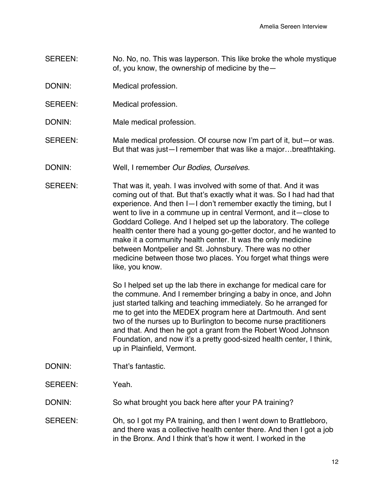- SEREEN: No. No, no. This was layperson. This like broke the whole mystique of, you know, the ownership of medicine by the—
- DONIN: Medical profession.
- SEREEN: Medical profession.
- DONIN: Male medical profession.
- SEREEN: Male medical profession. Of course now I'm part of it, but—or was. But that was just—I remember that was like a major…breathtaking.
- DONIN: Well, I remember *Our Bodies, Ourselves*.
- SEREEN: That was it, yeah. I was involved with some of that. And it was coming out of that. But that's exactly what it was. So I had had that experience. And then I—I don't remember exactly the timing, but I went to live in a commune up in central Vermont, and it—close to Goddard College. And I helped set up the laboratory. The college health center there had a young go-getter doctor, and he wanted to make it a community health center. It was the only medicine between Montpelier and St. Johnsbury. There was no other medicine between those two places. You forget what things were like, you know.

So I helped set up the lab there in exchange for medical care for the commune. And I remember bringing a baby in once, and John just started talking and teaching immediately. So he arranged for me to get into the MEDEX program here at Dartmouth. And sent two of the nurses up to Burlington to become nurse practitioners and that. And then he got a grant from the Robert Wood Johnson Foundation, and now it's a pretty good-sized health center, I think, up in Plainfield, Vermont.

- DONIN: That's fantastic.
- SEREEN: Yeah.

DONIN: So what brought you back here after your PA training?

SEREEN: Oh, so I got my PA training, and then I went down to Brattleboro, and there was a collective health center there. And then I got a job in the Bronx. And I think that's how it went. I worked in the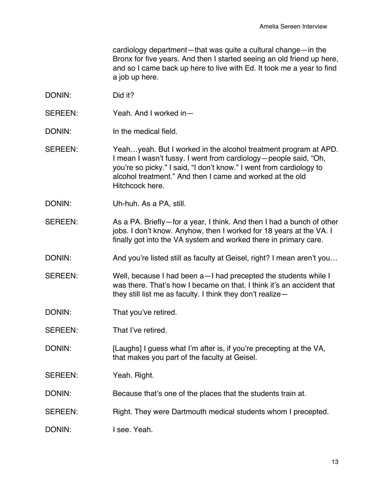cardiology department—that was quite a cultural change—in the Bronx for five years. And then I started seeing an old friend up here, and so I came back up here to live with Ed. It took me a year to find a job up here.

- DONIN: Did it?
- SEREEN: Yeah. And I worked in—
- DONIN: In the medical field.
- SEREEN: Yeah…yeah. But I worked in the alcohol treatment program at APD. I mean I wasn't fussy. I went from cardiology—people said, "Oh, you're so picky." I said, "I don't know." I went from cardiology to alcohol treatment." And then I came and worked at the old Hitchcock here.
- DONIN: Uh-huh. As a PA, still.
- SEREEN: As a PA. Briefly—for a year, I think. And then I had a bunch of other jobs. I don't know. Anyhow, then I worked for 18 years at the VA. I finally got into the VA system and worked there in primary care.
- DONIN: And you're listed still as faculty at Geisel, right? I mean aren't you...
- SEREEN: Well, because I had been a—I had precepted the students while I was there. That's how I became on that. I think it's an accident that they still list me as faculty. I think they don't realize—
- DONIN: That you've retired.
- SEREEN: That I've retired.
- DONIN: [Laughs] I guess what I'm after is, if you're precepting at the VA, that makes you part of the faculty at Geisel.
- SEREEN: Yeah. Right.
- DONIN: Because that's one of the places that the students train at.
- SEREEN: Right. They were Dartmouth medical students whom I precepted.
- DONIN: I see. Yeah.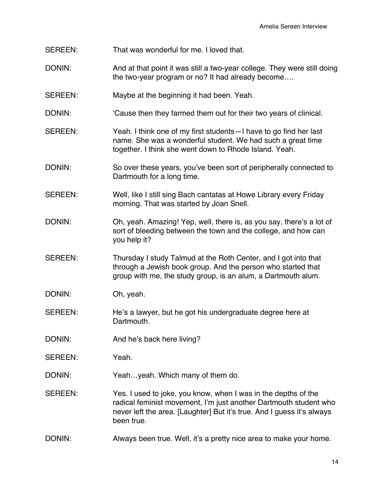- SEREEN: That was wonderful for me. I loved that.
- DONIN: And at that point it was still a two-year college. They were still doing the two-year program or no? It had already become….
- SEREEN: Maybe at the beginning it had been. Yeah.
- DONIN: Cause then they farmed them out for their two years of clinical.
- SEREEN: Yeah. I think one of my first students—I have to go find her last name. She was a wonderful student. We had such a great time together. I think she went down to Rhode Island. Yeah.
- DONIN: So over these years, you've been sort of peripherally connected to Dartmouth for a long time.
- SEREEN: Well, like I still sing Bach cantatas at Howe Library every Friday morning. That was started by Joan Snell.
- DONIN: Oh, yeah. Amazing! Yep, well, there is, as you say, there's a lot of sort of bleeding between the town and the college, and how can you help it?
- SEREEN: Thursday I study Talmud at the Roth Center, and I got into that through a Jewish book group. And the person who started that group with me, the study group, is an alum, a Dartmouth alum.
- DONIN: Oh, yeah.
- SEREEN: He's a lawyer, but he got his undergraduate degree here at Dartmouth.
- DONIN: And he's back here living?
- SEREEN: Yeah.
- DONIN: Yeah...yeah. Which many of them do.
- SEREEN: Yes. I used to joke, you know, when I was in the depths of the radical feminist movement, I'm just another Dartmouth student who never left the area. [Laughter] But it's true. And I guess it's always been true.
- DONIN: Always been true. Well, it's a pretty nice area to make your home.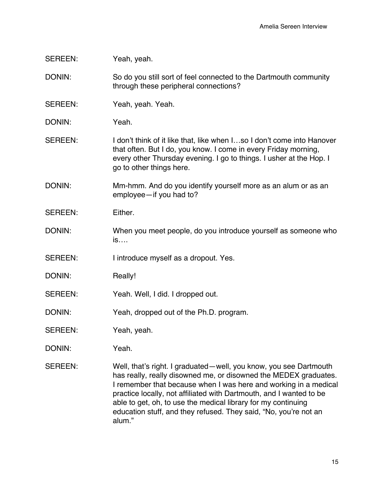# SEREEN: Yeah, yeah.

DONIN: So do you still sort of feel connected to the Dartmouth community through these peripheral connections?

SEREEN: Yeah, yeah. Yeah.

DONIN: Yeah.

SEREEN: I don't think of it like that, like when I...so I don't come into Hanover that often. But I do, you know. I come in every Friday morning, every other Thursday evening. I go to things. I usher at the Hop. I go to other things here.

DONIN: Mm-hmm. And do you identify yourself more as an alum or as an employee—if you had to?

- SEREEN: Either.
- DONIN: When you meet people, do you introduce yourself as someone who is….
- SEREEN: I introduce myself as a dropout. Yes.
- DONIN: Really!
- SEREEN: Yeah. Well, I did. I dropped out.
- DONIN: Yeah, dropped out of the Ph.D. program.
- SEREEN: Yeah, yeah.

DONIN: Yeah.

SEREEN: Well, that's right. I graduated—well, you know, you see Dartmouth has really, really disowned me, or disowned the MEDEX graduates. I remember that because when I was here and working in a medical practice locally, not affiliated with Dartmouth, and I wanted to be able to get, oh, to use the medical library for my continuing education stuff, and they refused. They said, "No, you're not an alum."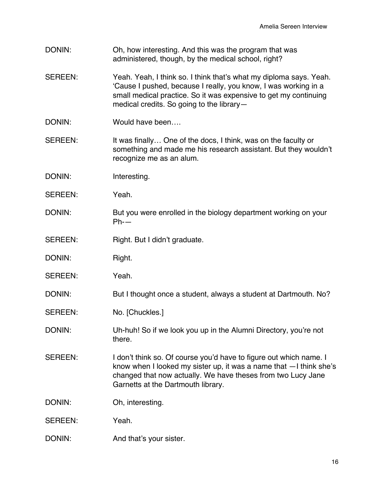- DONIN: Oh, how interesting. And this was the program that was administered, though, by the medical school, right?
- SEREEN: Yeah. Yeah, I think so. I think that's what my diploma says. Yeah. 'Cause I pushed, because I really, you know, I was working in a small medical practice. So it was expensive to get my continuing medical credits. So going to the library—
- DONIN: Would have been
- SEREEN: It was finally... One of the docs, I think, was on the faculty or something and made me his research assistant. But they wouldn't recognize me as an alum.
- DONIN: Interesting.
- SEREEN: Yeah.
- DONIN: But you were enrolled in the biology department working on your Ph-—
- SEREEN: Right. But I didn't graduate.
- DONIN: Right.
- SEREEN: Yeah.
- DONIN: But I thought once a student, always a student at Dartmouth. No?
- SEREEN: No. [Chuckles.]
- DONIN: Uh-huh! So if we look you up in the Alumni Directory, you're not there.
- SEREEN: I don't think so. Of course you'd have to figure out which name. I know when I looked my sister up, it was a name that —I think she's changed that now actually. We have theses from two Lucy Jane Garnetts at the Dartmouth library.
- DONIN: Oh, interesting.
- SEREEN: Yeah.
- DONIN: And that's your sister.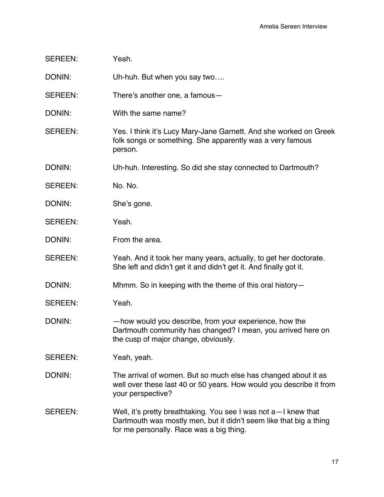| <b>SEREEN:</b> | Yeah. |
|----------------|-------|
|----------------|-------|

DONIN: Uh-huh. But when you say two....

SEREEN: There's another one, a famous—

- DONIN: With the same name?
- SEREEN: Yes. I think it's Lucy Mary-Jane Garnett. And she worked on Greek folk songs or something. She apparently was a very famous person.

DONIN: Uh-huh. Interesting. So did she stay connected to Dartmouth?

- SEREEN: No. No.
- DONIN: She's gone.
- SEREEN: Yeah.

DONIN: From the area.

SEREEN: Yeah. And it took her many years, actually, to get her doctorate. She left and didn't get it and didn't get it. And finally got it.

DONIN: Mhmm. So in keeping with the theme of this oral history-

- SEREEN: Yeah.
- DONIN: —how would you describe, from your experience, how the Dartmouth community has changed? I mean, you arrived here on the cusp of major change, obviously.

SEREEN: Yeah, yeah.

- DONIN: The arrival of women. But so much else has changed about it as well over these last 40 or 50 years. How would you describe it from your perspective?
- SEREEN: Well, it's pretty breathtaking. You see I was not a—I knew that Dartmouth was mostly men, but it didn't seem like that big a thing for me personally. Race was a big thing.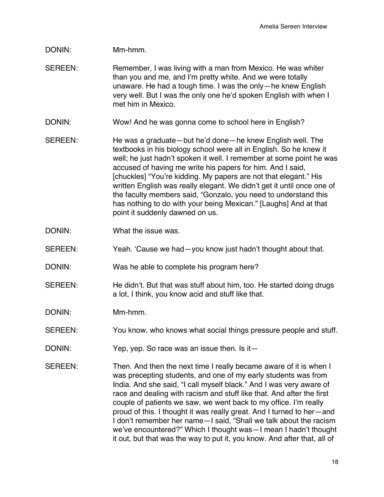#### DONIN: Mm-hmm.

- SEREEN: Remember, I was living with a man from Mexico. He was whiter than you and me, and I'm pretty white. And we were totally unaware. He had a tough time. I was the only—he knew English very well. But I was the only one he'd spoken English with when I met him in Mexico.
- DONIN: Wow! And he was gonna come to school here in English?
- SEREEN: He was a graduate—but he'd done—he knew English well. The textbooks in his biology school were all in English. So he knew it well; he just hadn't spoken it well. I remember at some point he was accused of having me write his papers for him. And I said, [chuckles] "You're kidding. My papers are not that elegant." His written English was really elegant. We didn't get it until once one of the faculty members said, "Gonzalo, you need to understand this has nothing to do with your being Mexican." [Laughs] And at that point it suddenly dawned on us.
- DONIN: What the issue was.
- SEREEN: Yeah. 'Cause we had—you know just hadn't thought about that.
- DONIN: Was he able to complete his program here?
- SEREEN: He didn't. But that was stuff about him, too. He started doing drugs a lot, I think, you know acid and stuff like that.
- DONIN: Mm-hmm.
- SEREEN: You know, who knows what social things pressure people and stuff.
- DONIN: Yep, yep. So race was an issue then. Is it-
- SEREEN: Then. And then the next time I really became aware of it is when I was precepting students, and one of my early students was from India. And she said, "I call myself black." And I was very aware of race and dealing with racism and stuff like that. And after the first couple of patients we saw, we went back to my office. I'm really proud of this. I thought it was really great. And I turned to her—and I don't remember her name—I said, "Shall we talk about the racism we've encountered?" Which I thought was—I mean I hadn't thought it out, but that was the way to put it, you know. And after that, all of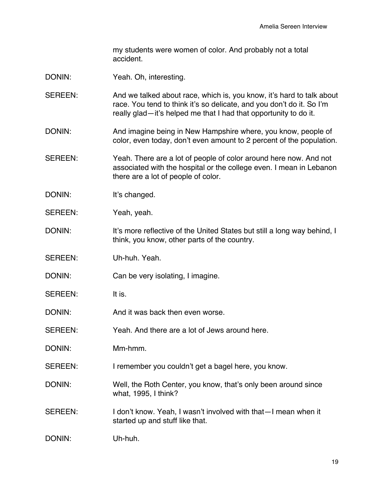my students were women of color. And probably not a total accident.

- DONIN: Yeah. Oh, interesting.
- SEREEN: And we talked about race, which is, you know, it's hard to talk about race. You tend to think it's so delicate, and you don't do it. So I'm really glad—it's helped me that I had that opportunity to do it.
- DONIN: And imagine being in New Hampshire where, you know, people of color, even today, don't even amount to 2 percent of the population.
- SEREEN: Yeah. There are a lot of people of color around here now. And not associated with the hospital or the college even. I mean in Lebanon there are a lot of people of color.
- DONIN: It's changed.
- SEREEN: Yeah, yeah.
- DONIN: It's more reflective of the United States but still a long way behind, I think, you know, other parts of the country.
- SEREEN: Uh-huh. Yeah.
- DONIN: Can be very isolating, I imagine.
- SEREEN: It is.
- DONIN: And it was back then even worse.
- SEREEN: Yeah. And there are a lot of Jews around here.
- DONIN: Mm-hmm.
- SEREEN: I remember you couldn't get a bagel here, you know.
- DONIN: Well, the Roth Center, you know, that's only been around since what, 1995, I think?
- SEREEN: I don't know. Yeah, I wasn't involved with that I mean when it started up and stuff like that.
- DONIN: Uh-huh.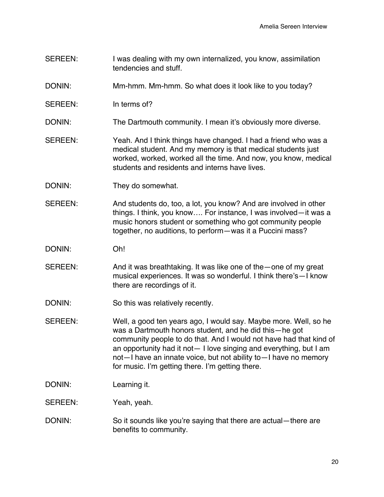- SEREEN: I was dealing with my own internalized, you know, assimilation tendencies and stuff.
- DONIN: Mm-hmm. Mm-hmm. So what does it look like to you today?
- SEREEN: In terms of?
- DONIN: The Dartmouth community. I mean it's obviously more diverse.
- SEREEN: Yeah. And I think things have changed. I had a friend who was a medical student. And my memory is that medical students just worked, worked, worked all the time. And now, you know, medical students and residents and interns have lives.
- DONIN: They do somewhat.
- SEREEN: And students do, too, a lot, you know? And are involved in other things. I think, you know…. For instance, I was involved—it was a music honors student or something who got community people together, no auditions, to perform—was it a Puccini mass?
- DONIN: Oh!
- SEREEN: And it was breathtaking. It was like one of the—one of my great musical experiences. It was so wonderful. I think there's—I know there are recordings of it.
- DONIN: So this was relatively recently.
- SEREEN: Well, a good ten years ago, I would say. Maybe more. Well, so he was a Dartmouth honors student, and he did this—he got community people to do that. And I would not have had that kind of an opportunity had it not— I love singing and everything, but I am not—I have an innate voice, but not ability to—I have no memory for music. I'm getting there. I'm getting there.
- DONIN: Learning it.

#### SEREEN: Yeah, yeah.

DONIN: So it sounds like you're saying that there are actual—there are benefits to community.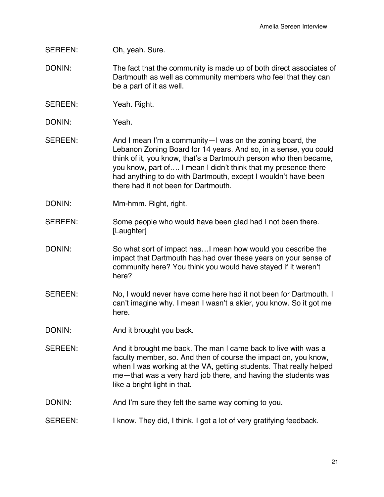SEREEN: Oh, yeah. Sure.

- DONIN: The fact that the community is made up of both direct associates of Dartmouth as well as community members who feel that they can be a part of it as well.
- SEREEN: Yeah. Right.
- DONIN: Yeah.
- SEREEN: And I mean I'm a community—I was on the zoning board, the Lebanon Zoning Board for 14 years. And so, in a sense, you could think of it, you know, that's a Dartmouth person who then became, you know, part of…. I mean I didn't think that my presence there had anything to do with Dartmouth, except I wouldn't have been there had it not been for Dartmouth.
- DONIN: Mm-hmm. Right, right.
- SEREEN: Some people who would have been glad had I not been there. [Laughter]
- DONIN: So what sort of impact has…I mean how would you describe the impact that Dartmouth has had over these years on your sense of community here? You think you would have stayed if it weren't here?
- SEREEN: No, I would never have come here had it not been for Dartmouth. I can't imagine why. I mean I wasn't a skier, you know. So it got me here.
- DONIN: And it brought you back.
- SEREEN: And it brought me back. The man I came back to live with was a faculty member, so. And then of course the impact on, you know, when I was working at the VA, getting students. That really helped me—that was a very hard job there, and having the students was like a bright light in that.
- DONIN: And I'm sure they felt the same way coming to you.
- SEREEN: I know. They did, I think. I got a lot of very gratifying feedback.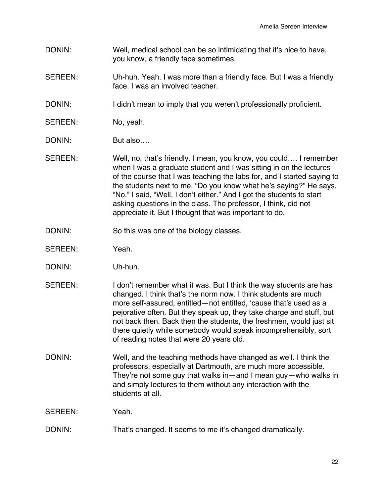- DONIN: Well, medical school can be so intimidating that it's nice to have, you know, a friendly face sometimes.
- SEREEN: Uh-huh. Yeah. I was more than a friendly face. But I was a friendly face. I was an involved teacher.
- DONIN: I didn't mean to imply that you weren't professionally proficient.
- SEREEN: No, yeah.
- DONIN: But also….
- SEREEN: Well, no, that's friendly. I mean, you know, you could…. I remember when I was a graduate student and I was sitting in on the lectures of the course that I was teaching the labs for, and I started saying to the students next to me, "Do you know what he's saying?" He says, "No." I said, "Well, I don't either." And I got the students to start asking questions in the class. The professor, I think, did not appreciate it. But I thought that was important to do.
- DONIN: So this was one of the biology classes.
- SEREEN: Yeah.
- DONIN: Uh-huh.
- SEREEN: I don't remember what it was. But I think the way students are has changed. I think that's the norm now. I think students are much more self-assured, entitled—not entitled, 'cause that's used as a pejorative often. But they speak up, they take charge and stuff, but not back then. Back then the students, the freshmen, would just sit there quietly while somebody would speak incomprehensibly, sort of reading notes that were 20 years old.
- DONIN: Well, and the teaching methods have changed as well. I think the professors, especially at Dartmouth, are much more accessible. They're not some guy that walks in—and I mean guy—who walks in and simply lectures to them without any interaction with the students at all.

SEREEN: Yeah.

DONIN: That's changed. It seems to me it's changed dramatically.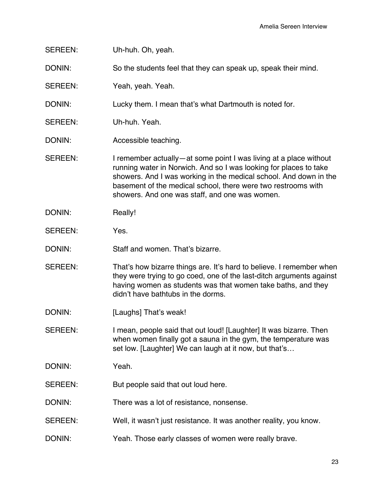| Uh-huh. Oh, yeah.                                                                                                                                                                                                                                                                                                              |
|--------------------------------------------------------------------------------------------------------------------------------------------------------------------------------------------------------------------------------------------------------------------------------------------------------------------------------|
| So the students feel that they can speak up, speak their mind.                                                                                                                                                                                                                                                                 |
| Yeah, yeah. Yeah.                                                                                                                                                                                                                                                                                                              |
| Lucky them. I mean that's what Dartmouth is noted for.                                                                                                                                                                                                                                                                         |
| Uh-huh. Yeah.                                                                                                                                                                                                                                                                                                                  |
| Accessible teaching.                                                                                                                                                                                                                                                                                                           |
| I remember actually—at some point I was living at a place without<br>running water in Norwich. And so I was looking for places to take<br>showers. And I was working in the medical school. And down in the<br>basement of the medical school, there were two restrooms with<br>showers. And one was staff, and one was women. |
| Really!                                                                                                                                                                                                                                                                                                                        |
| Yes.                                                                                                                                                                                                                                                                                                                           |
| Staff and women. That's bizarre.                                                                                                                                                                                                                                                                                               |
| That's how bizarre things are. It's hard to believe. I remember when<br>they were trying to go coed, one of the last-ditch arguments against<br>having women as students was that women take baths, and they<br>didn't have bathtubs in the dorms.                                                                             |
| [Laughs] That's weak!                                                                                                                                                                                                                                                                                                          |
| I mean, people said that out loud! [Laughter] It was bizarre. Then<br>when women finally got a sauna in the gym, the temperature was<br>set low. [Laughter] We can laugh at it now, but that's                                                                                                                                 |
| Yeah.                                                                                                                                                                                                                                                                                                                          |
| But people said that out loud here.                                                                                                                                                                                                                                                                                            |
| There was a lot of resistance, nonsense.                                                                                                                                                                                                                                                                                       |
| Well, it wasn't just resistance. It was another reality, you know.                                                                                                                                                                                                                                                             |
| Yeah. Those early classes of women were really brave.                                                                                                                                                                                                                                                                          |
|                                                                                                                                                                                                                                                                                                                                |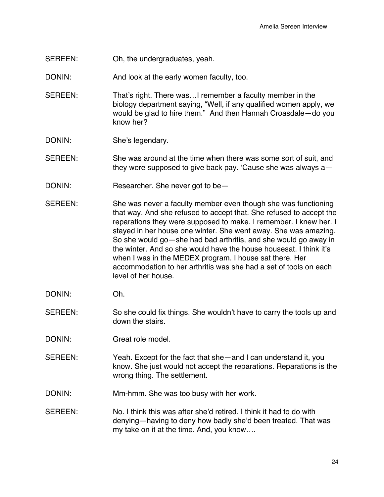SEREEN: Oh, the undergraduates, yeah.

DONIN: And look at the early women faculty, too.

- SEREEN: That's right. There was…I remember a faculty member in the biology department saying, "Well, if any qualified women apply, we would be glad to hire them." And then Hannah Croasdale—do you know her?
- DONIN: She's legendary.
- SEREEN: She was around at the time when there was some sort of suit, and they were supposed to give back pay. 'Cause she was always a—
- DONIN: Researcher. She never got to be—
- SEREEN: She was never a faculty member even though she was functioning that way. And she refused to accept that. She refused to accept the reparations they were supposed to make. I remember. I knew her. I stayed in her house one winter. She went away. She was amazing. So she would go—she had bad arthritis, and she would go away in the winter. And so she would have the house housesat. I think it's when I was in the MEDEX program. I house sat there. Her accommodation to her arthritis was she had a set of tools on each level of her house.
- DONIN: Oh.
- SEREEN: So she could fix things. She wouldn't have to carry the tools up and down the stairs.
- DONIN: Great role model.
- SEREEN: Yeah. Except for the fact that she—and I can understand it, you know. She just would not accept the reparations. Reparations is the wrong thing. The settlement.
- DONIN: Mm-hmm. She was too busy with her work.
- SEREEN: No. I think this was after she'd retired. I think it had to do with denying—having to deny how badly she'd been treated. That was my take on it at the time. And, you know….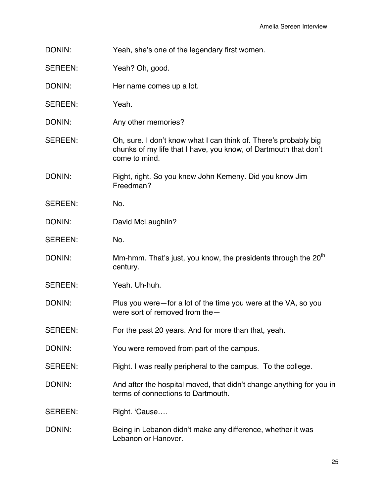DONIN: Yeah, she's one of the legendary first women.

SEREEN: Yeah? Oh, good.

DONIN: Her name comes up a lot.

SEREEN: Yeah.

DONIN: Any other memories?

SEREEN: Oh, sure. I don't know what I can think of. There's probably big chunks of my life that I have, you know, of Dartmouth that don't come to mind.

DONIN: Right, right. So you knew John Kemeny. Did you know Jim Freedman?

SEREEN: No.

DONIN: David McLaughlin?

SEREEN: No.

DONIN: Mm-hmm. That's just, you know, the presidents through the  $20<sup>th</sup>$ century.

SEREEN: Yeah. Uh-huh.

DONIN: Plus you were—for a lot of the time you were at the VA, so you were sort of removed from the—

SEREEN: For the past 20 years. And for more than that, yeah.

DONIN: You were removed from part of the campus.

SEREEN: Right. I was really peripheral to the campus. To the college.

DONIN: And after the hospital moved, that didn't change anything for you in terms of connections to Dartmouth.

SEREEN: Right. 'Cause....

DONIN: Being in Lebanon didn't make any difference, whether it was Lebanon or Hanover.